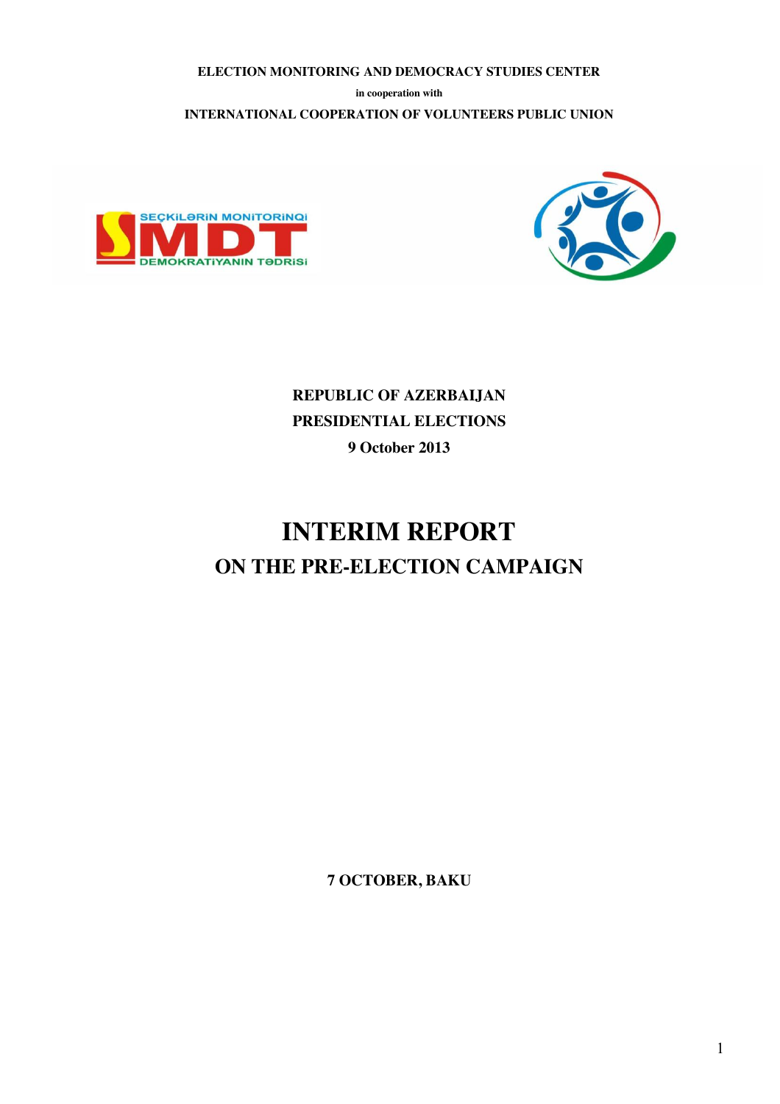**ELECTION MONITORING AND DEMOCRACY STUDIES CENTER**

**in cooperation with**

**INTERNATIONAL COOPERATION OF VOLUNTEERS PUBLIC UNION** 





**REPUBLIC OF AZERBAIJAN PRESIDENTIAL ELECTIONS 9 October 2013**

# **INTERIM REPORT ON THE PRE-ELECTION CAMPAIGN**

**7 OCTOBER, BAKU**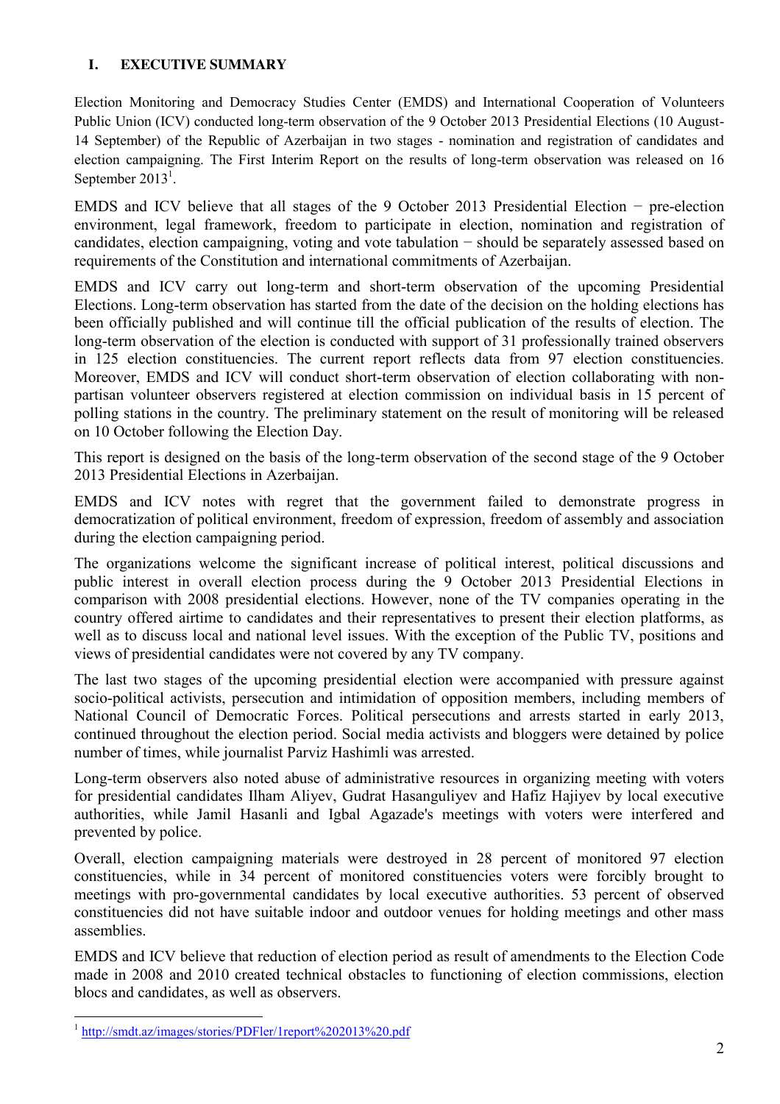## **I. EXECUTIVE SUMMARY**

Election Monitoring and Democracy Studies Center (EMDS) and International Cooperation of Volunteers Public Union (ICV) conducted long-term observation of the 9 October 2013 Presidential Elections (10 August-14 September) of the Republic of Azerbaijan in two stages - nomination and registration of candidates and election campaigning. The First Interim Report on the results of long-term observation was released on 16 September  $2013<sup>1</sup>$ .

EMDS and ICV believe that all stages of the 9 October 2013 Presidential Election − pre-election environment, legal framework, freedom to participate in election, nomination and registration of candidates, election campaigning, voting and vote tabulation − should be separately assessed based on requirements of the Constitution and international commitments of Azerbaijan.

EMDS and ICV carry out long-term and short-term observation of the upcoming Presidential Elections. Long-term observation has started from the date of the decision on the holding elections has been officially published and will continue till the official publication of the results of election. The long-term observation of the election is conducted with support of 31 professionally trained observers in 125 election constituencies. The current report reflects data from 97 election constituencies. Moreover, EMDS and ICV will conduct short-term observation of election collaborating with nonpartisan volunteer observers registered at election commission on individual basis in 15 percent of polling stations in the country. The preliminary statement on the result of monitoring will be released on 10 October following the Election Day.

This report is designed on the basis of the long-term observation of the second stage of the 9 October 2013 Presidential Elections in Azerbaijan.

EMDS and ICV notes with regret that the government failed to demonstrate progress in democratization of political environment, freedom of expression, freedom of assembly and association during the election campaigning period.

The organizations welcome the significant increase of political interest, political discussions and public interest in overall election process during the 9 October 2013 Presidential Elections in comparison with 2008 presidential elections. However, none of the TV companies operating in the country offered airtime to candidates and their representatives to present their election platforms, as well as to discuss local and national level issues. With the exception of the Public TV, positions and views of presidential candidates were not covered by any TV company.

The last two stages of the upcoming presidential election were accompanied with pressure against socio-political activists, persecution and intimidation of opposition members, including members of National Council of Democratic Forces. Political persecutions and arrests started in early 2013, continued throughout the election period. Social media activists and bloggers were detained by police number of times, while journalist Parviz Hashimli was arrested.

Long-term observers also noted abuse of administrative resources in organizing meeting with voters for presidential candidates Ilham Aliyev, Gudrat Hasanguliyev and Hafiz Hajiyev by local executive authorities, while Jamil Hasanli and Igbal Agazade's meetings with voters were interfered and prevented by police.

Overall, election campaigning materials were destroyed in 28 percent of monitored 97 election constituencies, while in 34 percent of monitored constituencies voters were forcibly brought to meetings with pro-governmental candidates by local executive authorities. 53 percent of observed constituencies did not have suitable indoor and outdoor venues for holding meetings and other mass assemblies.

EMDS and ICV believe that reduction of election period as result of amendments to the Election Code made in 2008 and 2010 created technical obstacles to functioning of election commissions, election blocs and candidates, as well as observers.

<sup>&</sup>lt;sup>1</sup> http://smdt.az/images/stories/PDFler/1report%202013%20.pdf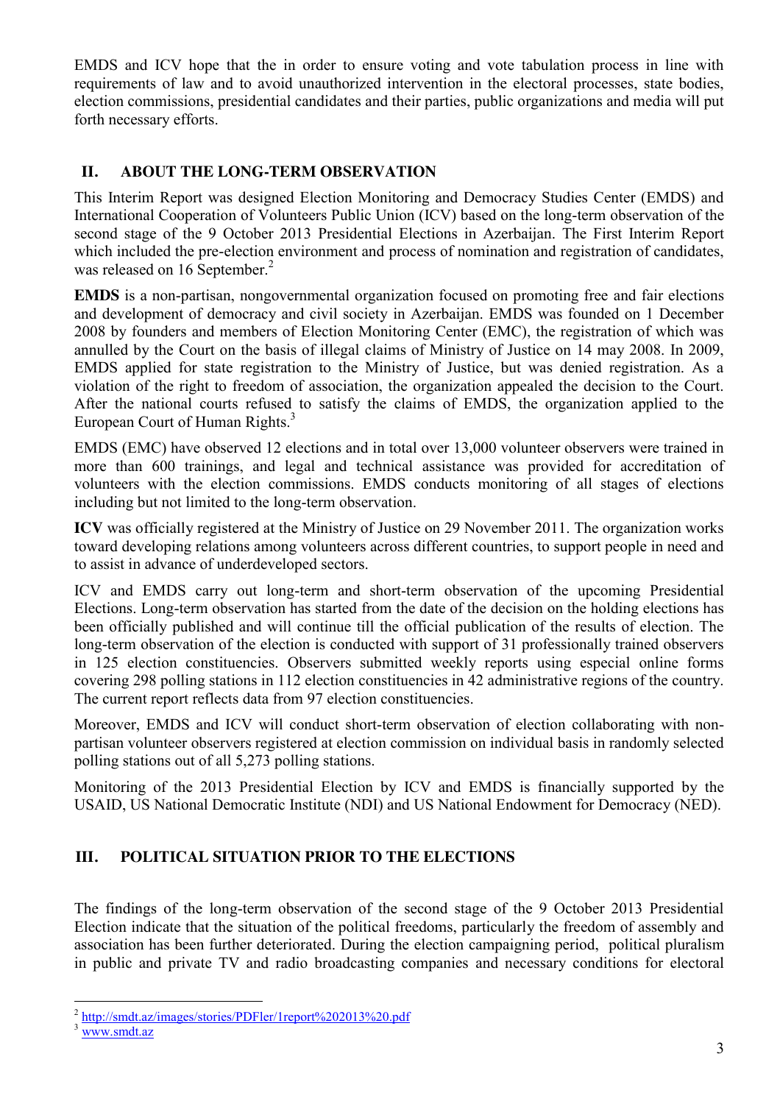EMDS and ICV hope that the in order to ensure voting and vote tabulation process in line with requirements of law and to avoid unauthorized intervention in the electoral processes, state bodies, election commissions, presidential candidates and their parties, public organizations and media will put forth necessary efforts.

## **II. ABOUT THE LONG-TERM OBSERVATION**

This Interim Report was designed Election Monitoring and Democracy Studies Center (EMDS) and International Cooperation of Volunteers Public Union (ICV) based on the long-term observation of the second stage of the 9 October 2013 Presidential Elections in Azerbaijan. The First Interim Report which included the pre-election environment and process of nomination and registration of candidates, was released on 16 September.<sup>2</sup>

**EMDS** is a non-partisan, nongovernmental organization focused on promoting free and fair elections and development of democracy and civil society in Azerbaijan. EMDS was founded on 1 December 2008 by founders and members of Election Monitoring Center (EMC), the registration of which was annulled by the Court on the basis of illegal claims of Ministry of Justice on 14 may 2008. In 2009, EMDS applied for state registration to the Ministry of Justice, but was denied registration. As a violation of the right to freedom of association, the organization appealed the decision to the Court. After the national courts refused to satisfy the claims of EMDS, the organization applied to the European Court of Human Rights.<sup>3</sup>

EMDS (EMC) have observed 12 elections and in total over 13,000 volunteer observers were trained in more than 600 trainings, and legal and technical assistance was provided for accreditation of volunteers with the election commissions. EMDS conducts monitoring of all stages of elections including but not limited to the long-term observation.

**ICV** was officially registered at the Ministry of Justice on 29 November 2011. The organization works toward developing relations among volunteers across different countries, to support people in need and to assist in advance of underdeveloped sectors.

ICV and EMDS carry out long-term and short-term observation of the upcoming Presidential Elections. Long-term observation has started from the date of the decision on the holding elections has been officially published and will continue till the official publication of the results of election. The long-term observation of the election is conducted with support of 31 professionally trained observers in 125 election constituencies. Observers submitted weekly reports using especial online forms covering 298 polling stations in 112 election constituencies in 42 administrative regions of the country. The current report reflects data from 97 election constituencies.

Moreover, EMDS and ICV will conduct short-term observation of election collaborating with nonpartisan volunteer observers registered at election commission on individual basis in randomly selected polling stations out of all 5,273 polling stations.

Monitoring of the 2013 Presidential Election by ICV and EMDS is financially supported by the USAID, US National Democratic Institute (NDI) and US National Endowment for Democracy (NED).

# **III. POLITICAL SITUATION PRIOR TO THE ELECTIONS**

The findings of the long-term observation of the second stage of the 9 October 2013 Presidential Election indicate that the situation of the political freedoms, particularly the freedom of assembly and association has been further deteriorated. During the election campaigning period, political pluralism in public and private TV and radio broadcasting companies and necessary conditions for electoral

 $\frac{2}{3}$  http://smdt.az/images/stories/PDFler/1report%202013%20.pdf<br> $\frac{3}{3}$  www.smdt.az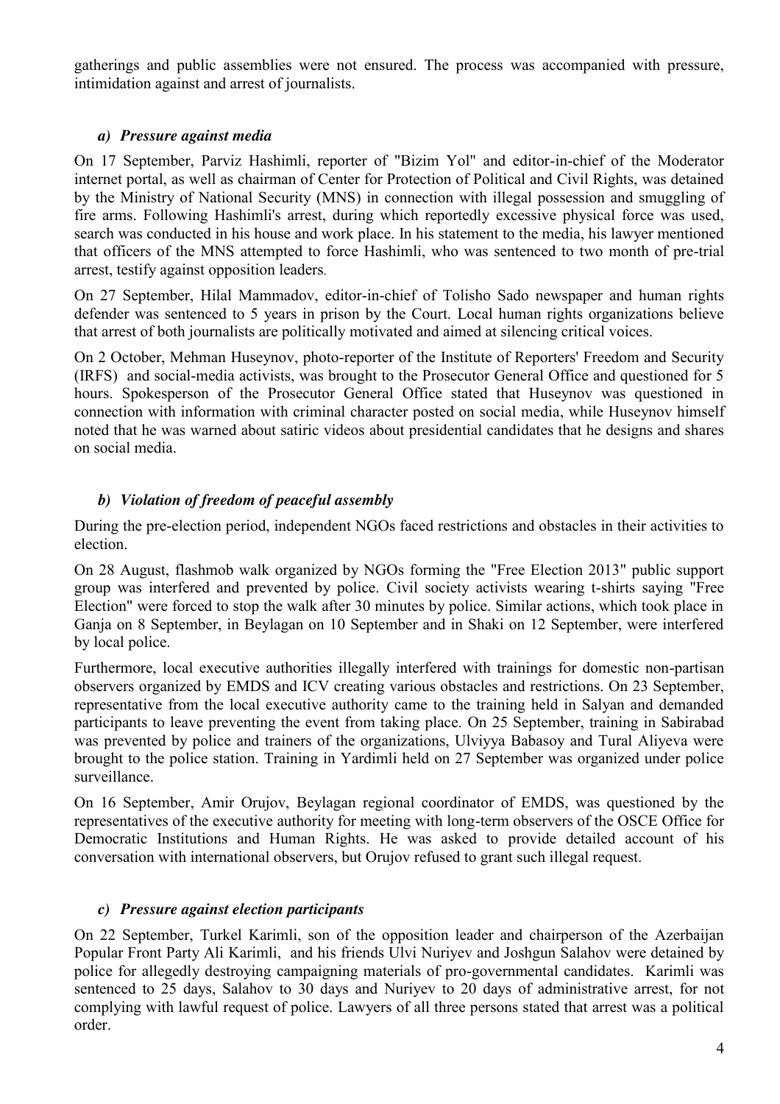gatherings and public assemblies were not ensured. The process was accompanied with pressure, intimidation against and arrest of journalists.

## *a) Pressure against media*

On 17 September, Parviz Hashimli, reporter of "Bizim Yol" and editor-in-chief of the Moderator internet portal, as well as chairman of Center for Protection of Political and Civil Rights, was detained by the Ministry of National Security (MNS) in connection with illegal possession and smuggling of fire arms. Following Hashimli's arrest, during which reportedly excessive physical force was used, search was conducted in his house and work place. In his statement to the media, his lawyer mentioned that officers of the MNS attempted to force Hashimli, who was sentenced to two month of pre-trial arrest, testify against opposition leaders.

On 27 September, Hilal Mammadov, editor-in-chief of Tolisho Sado newspaper and human rights defender was sentenced to 5 years in prison by the Court. Local human rights organizations believe that arrest of both journalists are politically motivated and aimed at silencing critical voices.

On 2 October, Mehman Huseynov, photo-reporter of the Institute of Reporters' Freedom and Security (IRFS) and social-media activists, was brought to the Prosecutor General Office and questioned for 5 hours. Spokesperson of the Prosecutor General Office stated that Huseynov was questioned in connection with information with criminal character posted on social media, while Huseynov himself noted that he was warned about satiric videos about presidential candidates that he designs and shares on social media.

# *b) Violation of freedom of peaceful assembly*

During the pre-election period, independent NGOs faced restrictions and obstacles in their activities to election.

On 28 August, flashmob walk organized by NGOs forming the "Free Election 2013" public support group was interfered and prevented by police. Civil society activists wearing t-shirts saying "Free Election" were forced to stop the walk after 30 minutes by police. Similar actions, which took place in Ganja on 8 September, in Beylagan on 10 September and in Shaki on 12 September, were interfered by local police.

Furthermore, local executive authorities illegally interfered with trainings for domestic non-partisan observers organized by EMDS and ICV creating various obstacles and restrictions. On 23 September, representative from the local executive authority came to the training held in Salyan and demanded participants to leave preventing the event from taking place. On 25 September, training in Sabirabad was prevented by police and trainers of the organizations, Ulviyya Babasoy and Tural Aliyeva were brought to the police station. Training in Yardimli held on 27 September was organized under police surveillance.

On 16 September, Amir Orujov, Beylagan regional coordinator of EMDS, was questioned by the representatives of the executive authority for meeting with long-term observers of the OSCE Office for Democratic Institutions and Human Rights. He was asked to provide detailed account of his conversation with international observers, but Orujov refused to grant such illegal request.

## *c) Pressure against election participants*

On 22 September, Turkel Karimli, son of the opposition leader and chairperson of the Azerbaijan Popular Front Party Ali Karimli, and his friends Ulvi Nuriyev and Joshgun Salahov were detained by police for allegedly destroying campaigning materials of pro-governmental candidates. Karimli was sentenced to 25 days, Salahov to 30 days and Nuriyev to 20 days of administrative arrest, for not complying with lawful request of police. Lawyers of all three persons stated that arrest was a political order.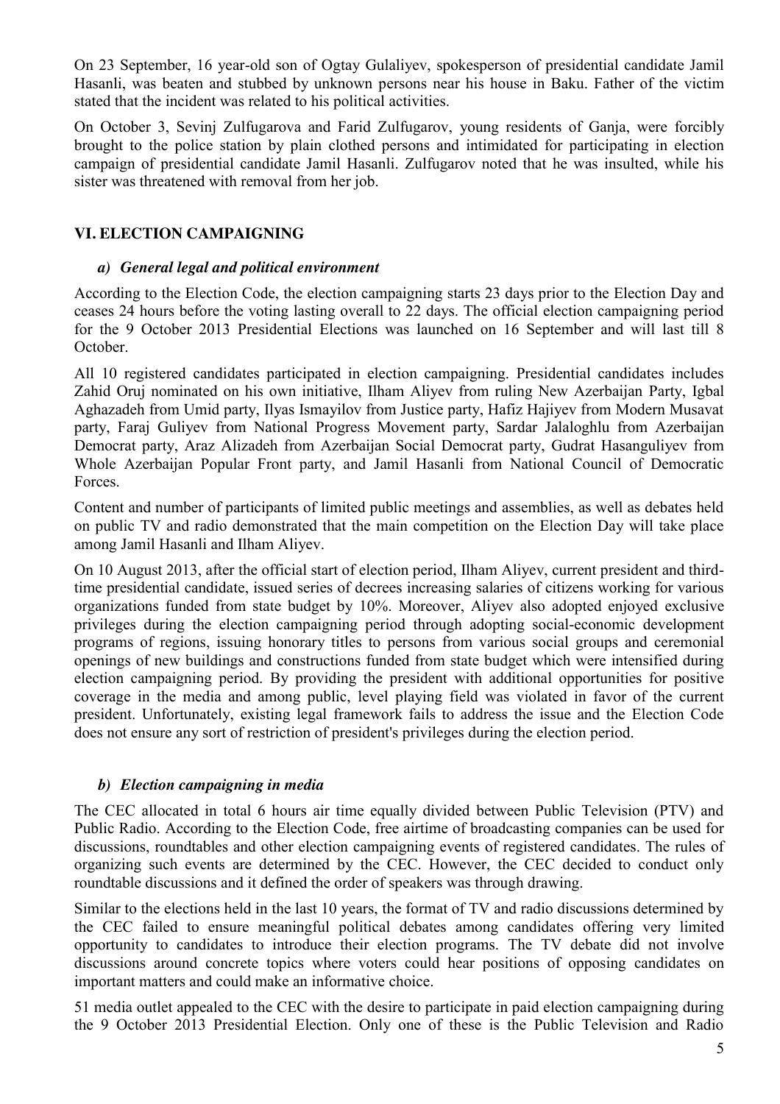On 23 September, 16 year-old son of Ogtay Gulaliyev, spokesperson of presidential candidate Jamil Hasanli, was beaten and stubbed by unknown persons near his house in Baku. Father of the victim stated that the incident was related to his political activities.

On October 3, Sevinj Zulfugarova and Farid Zulfugarov, young residents of Ganja, were forcibly brought to the police station by plain clothed persons and intimidated for participating in election campaign of presidential candidate Jamil Hasanli. Zulfugarov noted that he was insulted, while his sister was threatened with removal from her job.

## **VI. ELECTION CAMPAIGNING**

#### *a) General legal and political environment*

According to the Election Code, the election campaigning starts 23 days prior to the Election Day and ceases 24 hours before the voting lasting overall to 22 days. The official election campaigning period for the 9 October 2013 Presidential Elections was launched on 16 September and will last till 8 October.

All 10 registered candidates participated in election campaigning. Presidential candidates includes Zahid Oruj nominated on his own initiative, Ilham Aliyev from ruling New Azerbaijan Party, Igbal Aghazadeh from Umid party, Ilyas Ismayilov from Justice party, Hafiz Hajiyev from Modern Musavat party, Faraj Guliyev from National Progress Movement party, Sardar Jalaloghlu from Azerbaijan Democrat party, Araz Alizadeh from Azerbaijan Social Democrat party, Gudrat Hasanguliyev from Whole Azerbaijan Popular Front party, and Jamil Hasanli from National Council of Democratic Forces.

Content and number of participants of limited public meetings and assemblies, as well as debates held on public TV and radio demonstrated that the main competition on the Election Day will take place among Jamil Hasanli and Ilham Aliyev.

On 10 August 2013, after the official start of election period, Ilham Aliyev, current president and thirdtime presidential candidate, issued series of decrees increasing salaries of citizens working for various organizations funded from state budget by 10%. Moreover, Aliyev also adopted enjoyed exclusive privileges during the election campaigning period through adopting social-economic development programs of regions, issuing honorary titles to persons from various social groups and ceremonial openings of new buildings and constructions funded from state budget which were intensified during election campaigning period. By providing the president with additional opportunities for positive coverage in the media and among public, level playing field was violated in favor of the current president. Unfortunately, existing legal framework fails to address the issue and the Election Code does not ensure any sort of restriction of president's privileges during the election period.

#### *b) Election campaigning in media*

The CEC allocated in total 6 hours air time equally divided between Public Television (PTV) and Public Radio. According to the Election Code, free airtime of broadcasting companies can be used for discussions, roundtables and other election campaigning events of registered candidates. The rules of organizing such events are determined by the CEC. However, the CEC decided to conduct only roundtable discussions and it defined the order of speakers was through drawing.

Similar to the elections held in the last 10 years, the format of TV and radio discussions determined by the CEC failed to ensure meaningful political debates among candidates offering very limited opportunity to candidates to introduce their election programs. The TV debate did not involve discussions around concrete topics where voters could hear positions of opposing candidates on important matters and could make an informative choice.

51 media outlet appealed to the CEC with the desire to participate in paid election campaigning during the 9 October 2013 Presidential Election. Only one of these is the Public Television and Radio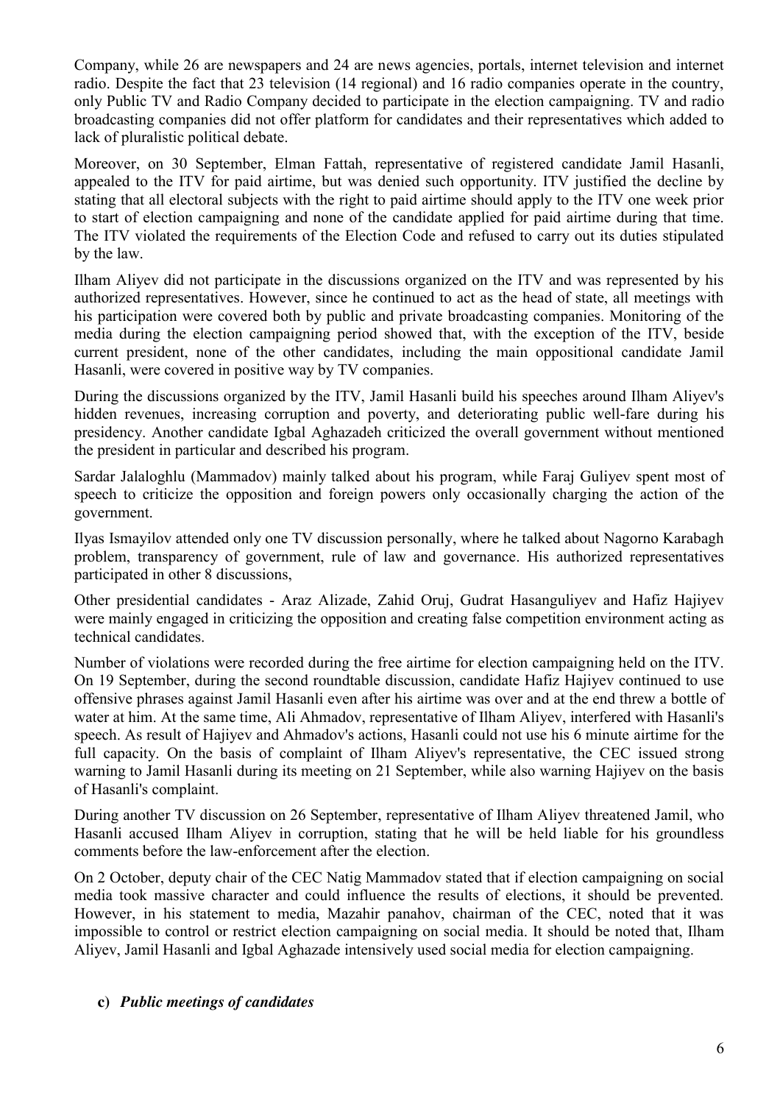Company, while 26 are newspapers and 24 are news agencies, portals, internet television and internet radio. Despite the fact that 23 television (14 regional) and 16 radio companies operate in the country, only Public TV and Radio Company decided to participate in the election campaigning. TV and radio broadcasting companies did not offer platform for candidates and their representatives which added to lack of pluralistic political debate.

Moreover, on 30 September, Elman Fattah, representative of registered candidate Jamil Hasanli, appealed to the ITV for paid airtime, but was denied such opportunity. ITV justified the decline by stating that all electoral subjects with the right to paid airtime should apply to the ITV one week prior to start of election campaigning and none of the candidate applied for paid airtime during that time. The ITV violated the requirements of the Election Code and refused to carry out its duties stipulated by the law.

Ilham Aliyev did not participate in the discussions organized on the ITV and was represented by his authorized representatives. However, since he continued to act as the head of state, all meetings with his participation were covered both by public and private broadcasting companies. Monitoring of the media during the election campaigning period showed that, with the exception of the ITV, beside current president, none of the other candidates, including the main oppositional candidate Jamil Hasanli, were covered in positive way by TV companies.

During the discussions organized by the ITV, Jamil Hasanli build his speeches around Ilham Aliyev's hidden revenues, increasing corruption and poverty, and deteriorating public well-fare during his presidency. Another candidate Igbal Aghazadeh criticized the overall government without mentioned the president in particular and described his program.

Sardar Jalaloghlu (Mammadov) mainly talked about his program, while Faraj Guliyev spent most of speech to criticize the opposition and foreign powers only occasionally charging the action of the government.

Ilyas Ismayilov attended only one TV discussion personally, where he talked about Nagorno Karabagh problem, transparency of government, rule of law and governance. His authorized representatives participated in other 8 discussions,

Other presidential candidates - Araz Alizade, Zahid Oruj, Gudrat Hasanguliyev and Hafiz Hajiyev were mainly engaged in criticizing the opposition and creating false competition environment acting as technical candidates.

Number of violations were recorded during the free airtime for election campaigning held on the ITV. On 19 September, during the second roundtable discussion, candidate Hafiz Hajiyev continued to use offensive phrases against Jamil Hasanli even after his airtime was over and at the end threw a bottle of water at him. At the same time, Ali Ahmadov, representative of Ilham Aliyev, interfered with Hasanli's speech. As result of Hajiyev and Ahmadov's actions, Hasanli could not use his 6 minute airtime for the full capacity. On the basis of complaint of Ilham Aliyev's representative, the CEC issued strong warning to Jamil Hasanli during its meeting on 21 September, while also warning Hajiyev on the basis of Hasanli's complaint.

During another TV discussion on 26 September, representative of Ilham Aliyev threatened Jamil, who Hasanli accused Ilham Aliyev in corruption, stating that he will be held liable for his groundless comments before the law-enforcement after the election.

On 2 October, deputy chair of the CEC Natig Mammadov stated that if election campaigning on social media took massive character and could influence the results of elections, it should be prevented. However, in his statement to media, Mazahir panahov, chairman of the CEC, noted that it was impossible to control or restrict election campaigning on social media. It should be noted that, Ilham Aliyev, Jamil Hasanli and Igbal Aghazade intensively used social media for election campaigning.

#### **c)** *Public meetings of candidates*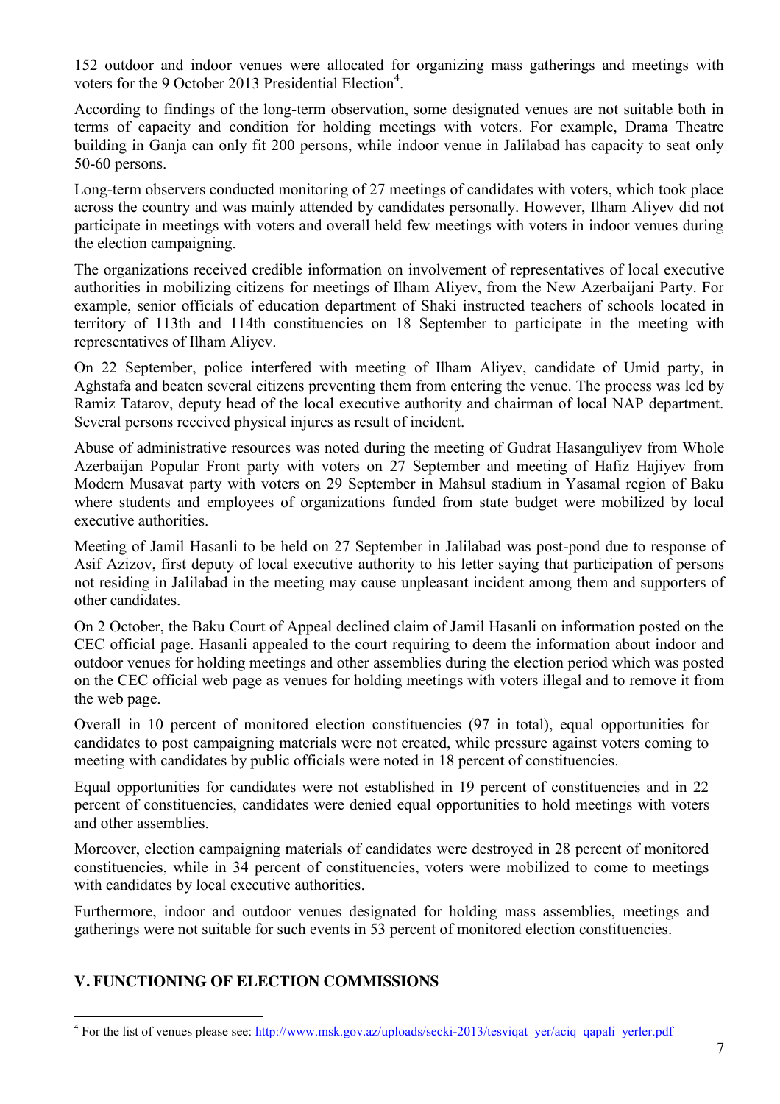152 outdoor and indoor venues were allocated for organizing mass gatherings and meetings with voters for the 9 October 2013 Presidential Election<sup>4</sup>.

According to findings of the long-term observation, some designated venues are not suitable both in terms of capacity and condition for holding meetings with voters. For example, Drama Theatre building in Ganja can only fit 200 persons, while indoor venue in Jalilabad has capacity to seat only 50-60 persons.

Long-term observers conducted monitoring of 27 meetings of candidates with voters, which took place across the country and was mainly attended by candidates personally. However, Ilham Aliyev did not participate in meetings with voters and overall held few meetings with voters in indoor venues during the election campaigning.

The organizations received credible information on involvement of representatives of local executive authorities in mobilizing citizens for meetings of Ilham Aliyev, from the New Azerbaijani Party. For example, senior officials of education department of Shaki instructed teachers of schools located in territory of 113th and 114th constituencies on 18 September to participate in the meeting with representatives of Ilham Aliyev.

On 22 September, police interfered with meeting of Ilham Aliyev, candidate of Umid party, in Aghstafa and beaten several citizens preventing them from entering the venue. The process was led by Ramiz Tatarov, deputy head of the local executive authority and chairman of local NAP department. Several persons received physical injures as result of incident.

Abuse of administrative resources was noted during the meeting of Gudrat Hasanguliyev from Whole Azerbaijan Popular Front party with voters on 27 September and meeting of Hafiz Hajiyev from Modern Musavat party with voters on 29 September in Mahsul stadium in Yasamal region of Baku where students and employees of organizations funded from state budget were mobilized by local executive authorities.

Meeting of Jamil Hasanli to be held on 27 September in Jalilabad was post-pond due to response of Asif Azizov, first deputy of local executive authority to his letter saying that participation of persons not residing in Jalilabad in the meeting may cause unpleasant incident among them and supporters of other candidates.

On 2 October, the Baku Court of Appeal declined claim of Jamil Hasanli on information posted on the CEC official page. Hasanli appealed to the court requiring to deem the information about indoor and outdoor venues for holding meetings and other assemblies during the election period which was posted on the CEC official web page as venues for holding meetings with voters illegal and to remove it from the web page.

Overall in 10 percent of monitored election constituencies (97 in total), equal opportunities for candidates to post campaigning materials were not created, while pressure against voters coming to meeting with candidates by public officials were noted in 18 percent of constituencies.

Equal opportunities for candidates were not established in 19 percent of constituencies and in 22 percent of constituencies, candidates were denied equal opportunities to hold meetings with voters and other assemblies.

Moreover, election campaigning materials of candidates were destroyed in 28 percent of monitored constituencies, while in 34 percent of constituencies, voters were mobilized to come to meetings with candidates by local executive authorities.

Furthermore, indoor and outdoor venues designated for holding mass assemblies, meetings and gatherings were not suitable for such events in 53 percent of monitored election constituencies.

# **V. FUNCTIONING OF ELECTION COMMISSIONS**

<sup>&</sup>lt;sup>4</sup> For the list of venues please see: http://www.msk.gov.az/uploads/secki-2013/tesviqat\_yer/aciq\_qapali\_yerler.pdf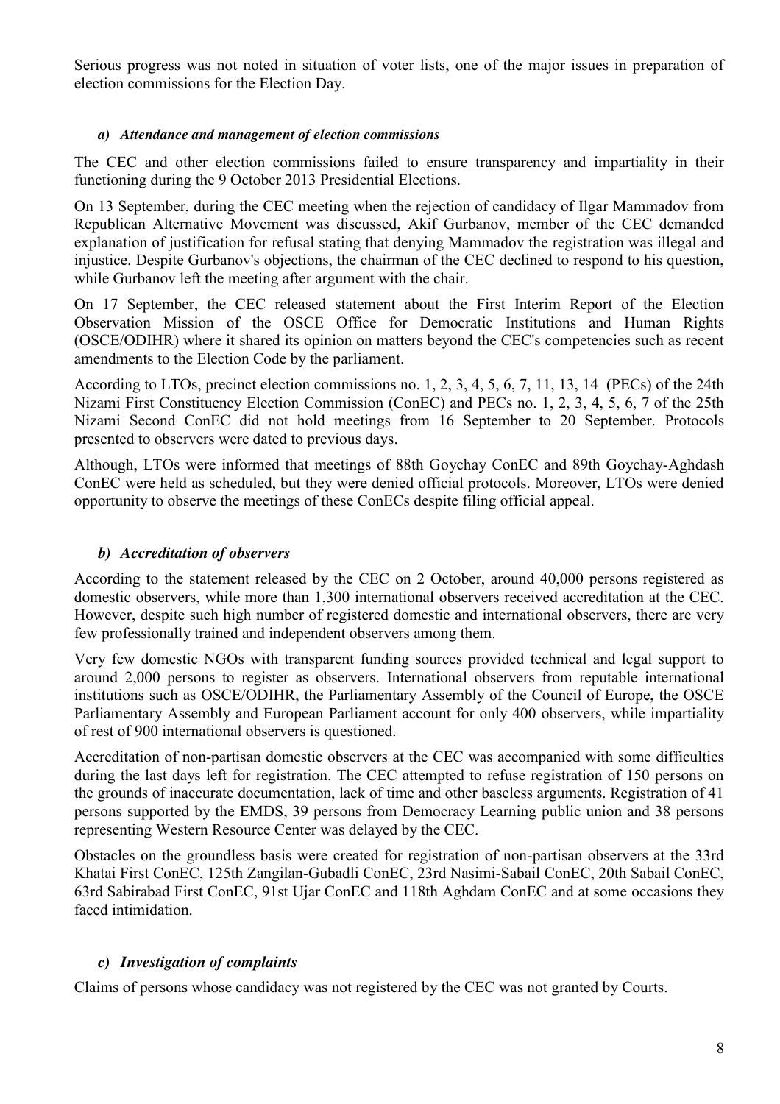Serious progress was not noted in situation of voter lists, one of the major issues in preparation of election commissions for the Election Day.

## *a) Attendance and management of election commissions*

The CEC and other election commissions failed to ensure transparency and impartiality in their functioning during the 9 October 2013 Presidential Elections.

On 13 September, during the CEC meeting when the rejection of candidacy of Ilgar Mammadov from Republican Alternative Movement was discussed, Akif Gurbanov, member of the CEC demanded explanation of justification for refusal stating that denying Mammadov the registration was illegal and injustice. Despite Gurbanov's objections, the chairman of the CEC declined to respond to his question, while Gurbanov left the meeting after argument with the chair.

On 17 September, the CEC released statement about the First Interim Report of the Election Observation Mission of the OSCE Office for Democratic Institutions and Human Rights (OSCE/ODIHR) where it shared its opinion on matters beyond the CEC's competencies such as recent amendments to the Election Code by the parliament.

According to LTOs, precinct election commissions no. 1, 2, 3, 4, 5, 6, 7, 11, 13, 14 (PECs) of the 24th Nizami First Constituency Election Commission (ConEC) and PECs no. 1, 2, 3, 4, 5, 6, 7 of the 25th Nizami Second ConEC did not hold meetings from 16 September to 20 September. Protocols presented to observers were dated to previous days.

Although, LTOs were informed that meetings of 88th Goychay ConEC and 89th Goychay-Aghdash ConEC were held as scheduled, but they were denied official protocols. Moreover, LTOs were denied opportunity to observe the meetings of these ConECs despite filing official appeal.

## *b) Accreditation of observers*

According to the statement released by the CEC on 2 October, around 40,000 persons registered as domestic observers, while more than 1,300 international observers received accreditation at the CEC. However, despite such high number of registered domestic and international observers, there are very few professionally trained and independent observers among them.

Very few domestic NGOs with transparent funding sources provided technical and legal support to around 2,000 persons to register as observers. International observers from reputable international institutions such as OSCE/ODIHR, the Parliamentary Assembly of the Council of Europe, the OSCE Parliamentary Assembly and European Parliament account for only 400 observers, while impartiality of rest of 900 international observers is questioned.

Accreditation of non-partisan domestic observers at the CEC was accompanied with some difficulties during the last days left for registration. The CEC attempted to refuse registration of 150 persons on the grounds of inaccurate documentation, lack of time and other baseless arguments. Registration of 41 persons supported by the EMDS, 39 persons from Democracy Learning public union and 38 persons representing Western Resource Center was delayed by the CEC.

Obstacles on the groundless basis were created for registration of non-partisan observers at the 33rd Khatai First ConEC, 125th Zangilan-Gubadli ConEC, 23rd Nasimi-Sabail ConEC, 20th Sabail ConEC, 63rd Sabirabad First ConEC, 91st Ujar ConEC and 118th Aghdam ConEC and at some occasions they faced intimidation.

## *c) Investigation of complaints*

Claims of persons whose candidacy was not registered by the CEC was not granted by Courts.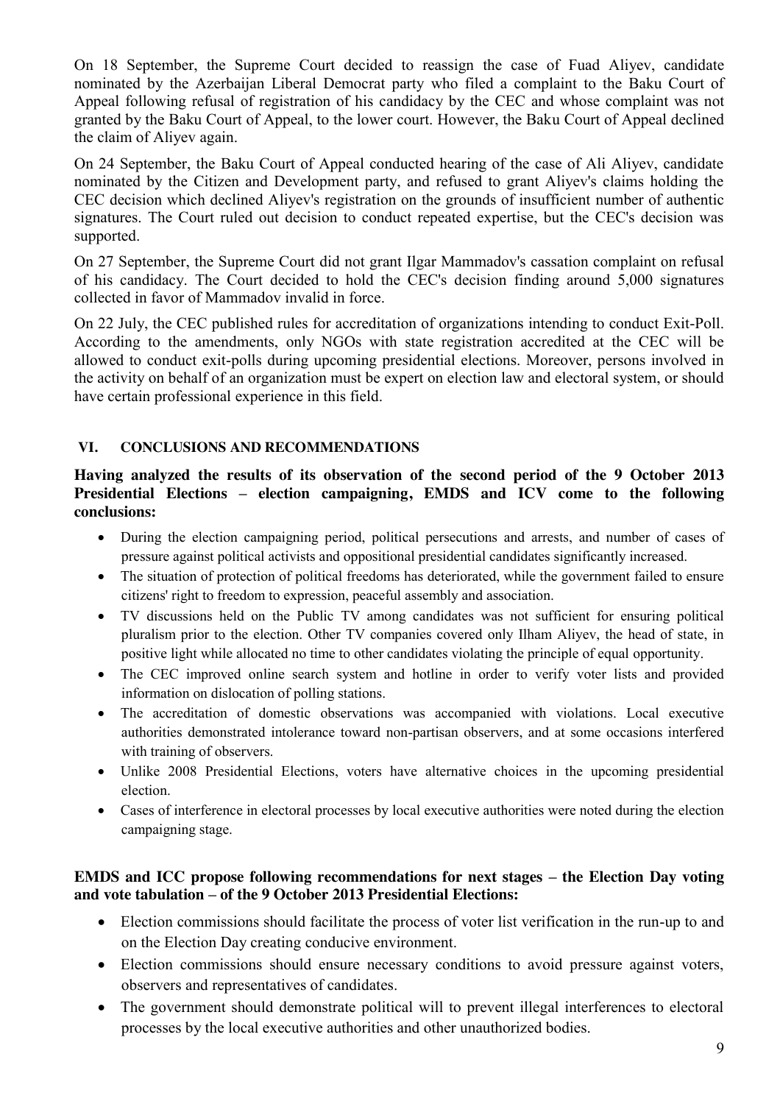On 18 September, the Supreme Court decided to reassign the case of Fuad Aliyev, candidate nominated by the Azerbaijan Liberal Democrat party who filed a complaint to the Baku Court of Appeal following refusal of registration of his candidacy by the CEC and whose complaint was not granted by the Baku Court of Appeal, to the lower court. However, the Baku Court of Appeal declined the claim of Aliyev again.

On 24 September, the Baku Court of Appeal conducted hearing of the case of Ali Aliyev, candidate nominated by the Citizen and Development party, and refused to grant Aliyev's claims holding the CEC decision which declined Aliyev's registration on the grounds of insufficient number of authentic signatures. The Court ruled out decision to conduct repeated expertise, but the CEC's decision was supported.

On 27 September, the Supreme Court did not grant Ilgar Mammadov's cassation complaint on refusal of his candidacy. The Court decided to hold the CEC's decision finding around 5,000 signatures collected in favor of Mammadov invalid in force.

On 22 July, the CEC published rules for accreditation of organizations intending to conduct Exit-Poll. According to the amendments, only NGOs with state registration accredited at the CEC will be allowed to conduct exit-polls during upcoming presidential elections. Moreover, persons involved in the activity on behalf of an organization must be expert on election law and electoral system, or should have certain professional experience in this field.

## **VI. CONCLUSIONS AND RECOMMENDATIONS**

**Having analyzed the results of its observation of the second period of the 9 October 2013 Presidential Elections – election campaigning, EMDS and ICV come to the following conclusions:**

- During the election campaigning period, political persecutions and arrests, and number of cases of pressure against political activists and oppositional presidential candidates significantly increased.
- The situation of protection of political freedoms has deteriorated, while the government failed to ensure citizens' right to freedom to expression, peaceful assembly and association.
- TV discussions held on the Public TV among candidates was not sufficient for ensuring political pluralism prior to the election. Other TV companies covered only Ilham Aliyev, the head of state, in positive light while allocated no time to other candidates violating the principle of equal opportunity.
- The CEC improved online search system and hotline in order to verify voter lists and provided information on dislocation of polling stations.
- The accreditation of domestic observations was accompanied with violations. Local executive authorities demonstrated intolerance toward non-partisan observers, and at some occasions interfered with training of observers.
- Unlike 2008 Presidential Elections, voters have alternative choices in the upcoming presidential election.
- Cases of interference in electoral processes by local executive authorities were noted during the election campaigning stage.

### **EMDS and ICC propose following recommendations for next stages – the Election Day voting and vote tabulation – of the 9 October 2013 Presidential Elections:**

- Election commissions should facilitate the process of voter list verification in the run-up to and on the Election Day creating conducive environment.
- Election commissions should ensure necessary conditions to avoid pressure against voters, observers and representatives of candidates.
- The government should demonstrate political will to prevent illegal interferences to electoral processes by the local executive authorities and other unauthorized bodies.